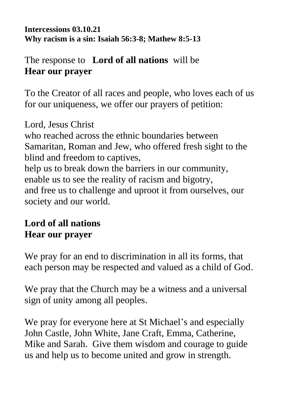#### **Intercessions 03.10.21 Why racism is a sin: Isaiah 56:3-8; Mathew 8:5-13**

## The response to **Lord of all nations** will be **Hear our prayer**

To the Creator of all races and people, who loves each of us for our uniqueness, we offer our prayers of petition:

Lord, Jesus Christ who reached across the ethnic boundaries between Samaritan, Roman and Jew, who offered fresh sight to the blind and freedom to captives, help us to break down the barriers in our community, enable us to see the reality of racism and bigotry, and free us to challenge and uproot it from ourselves, our society and our world.

## **Lord of all nations Hear our prayer**

We pray for an end to discrimination in all its forms, that each person may be respected and valued as a child of God.

We pray that the Church may be a witness and a universal sign of unity among all peoples.

We pray for everyone here at St Michael's and especially John Castle, John White, Jane Craft, Emma, Catherine, Mike and Sarah. Give them wisdom and courage to guide us and help us to become united and grow in strength.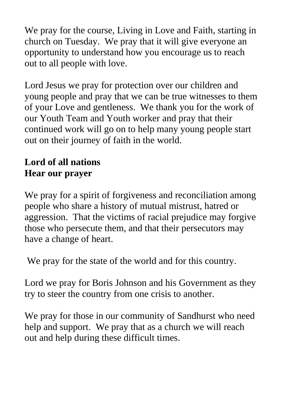We pray for the course, Living in Love and Faith, starting in church on Tuesday. We pray that it will give everyone an opportunity to understand how you encourage us to reach out to all people with love.

Lord Jesus we pray for protection over our children and young people and pray that we can be true witnesses to them of your Love and gentleness. We thank you for the work of our Youth Team and Youth worker and pray that their continued work will go on to help many young people start out on their journey of faith in the world.

## **Lord of all nations Hear our prayer**

We pray for a spirit of forgiveness and reconciliation among people who share a history of mutual mistrust, hatred or aggression. That the victims of racial prejudice may forgive those who persecute them, and that their persecutors may have a change of heart.

We pray for the state of the world and for this country.

Lord we pray for Boris Johnson and his Government as they try to steer the country from one crisis to another.

We pray for those in our community of Sandhurst who need help and support. We pray that as a church we will reach out and help during these difficult times.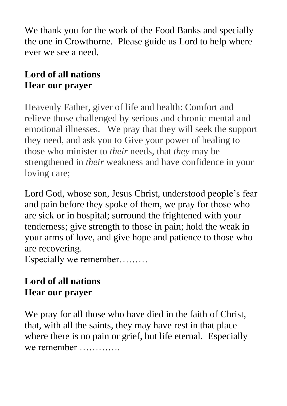We thank you for the work of the Food Banks and specially the one in Crowthorne. Please guide us Lord to help where ever we see a need.

# **Lord of all nations Hear our prayer**

Heavenly Father, giver of life and health: Comfort and relieve those challenged by serious and chronic mental and emotional illnesses. We pray that they will seek the support they need, and ask you to Give your power of healing to those who minister to *their* needs, that *they* may be strengthened in *their* weakness and have confidence in your loving care;

Lord God, whose son, Jesus Christ, understood people's fear and pain before they spoke of them, we pray for those who are sick or in hospital; surround the frightened with your tenderness; give strength to those in pain; hold the weak in your arms of love, and give hope and patience to those who are recovering.

Especially we remember………

# **Lord of all nations Hear our prayer**

We pray for all those who have died in the faith of Christ, that, with all the saints, they may have rest in that place where there is no pain or grief, but life eternal. Especially we remember ………….